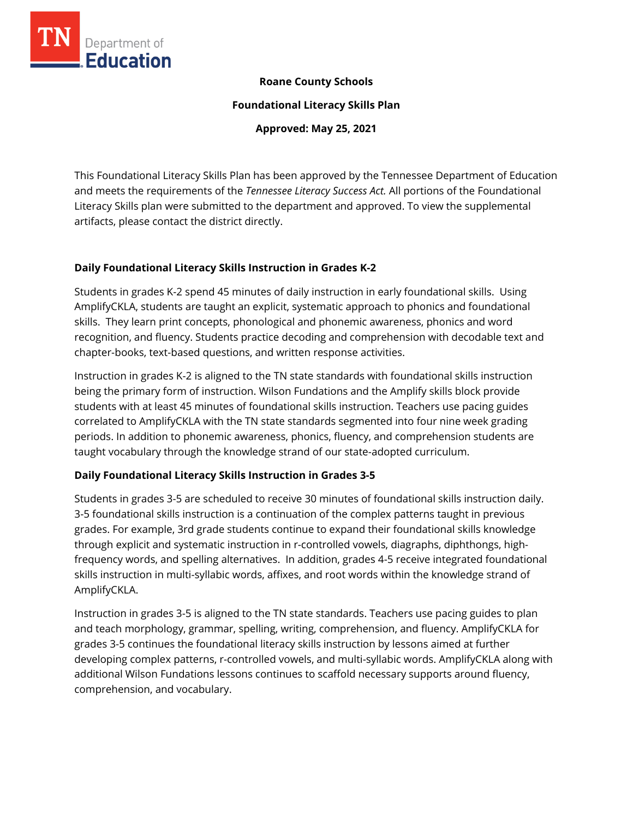

## **Roane County Schools**

**Foundational Literacy Skills Plan**

**Approved: May 25, 2021**

This Foundational Literacy Skills Plan has been approved by the Tennessee Department of Education and meets the requirements of the *Tennessee Literacy Success Act.* All portions of the Foundational Literacy Skills plan were submitted to the department and approved. To view the supplemental artifacts, please contact the district directly.

## **Daily Foundational Literacy Skills Instruction in Grades K-2**

Students in grades K-2 spend 45 minutes of daily instruction in early foundational skills. Using AmplifyCKLA, students are taught an explicit, systematic approach to phonics and foundational skills. They learn print concepts, phonological and phonemic awareness, phonics and word recognition, and fluency. Students practice decoding and comprehension with decodable text and chapter-books, text-based questions, and written response activities.

Instruction in grades K-2 is aligned to the TN state standards with foundational skills instruction being the primary form of instruction. Wilson Fundations and the Amplify skills block provide students with at least 45 minutes of foundational skills instruction. Teachers use pacing guides correlated to AmplifyCKLA with the TN state standards segmented into four nine week grading periods. In addition to phonemic awareness, phonics, fluency, and comprehension students are taught vocabulary through the knowledge strand of our state-adopted curriculum.

## **Daily Foundational Literacy Skills Instruction in Grades 3-5**

Students in grades 3-5 are scheduled to receive 30 minutes of foundational skills instruction daily. 3-5 foundational skills instruction is a continuation of the complex patterns taught in previous grades. For example, 3rd grade students continue to expand their foundational skills knowledge through explicit and systematic instruction in r-controlled vowels, diagraphs, diphthongs, highfrequency words, and spelling alternatives. In addition, grades 4-5 receive integrated foundational skills instruction in multi-syllabic words, affixes, and root words within the knowledge strand of AmplifyCKLA.

Instruction in grades 3-5 is aligned to the TN state standards. Teachers use pacing guides to plan and teach morphology, grammar, spelling, writing, comprehension, and fluency. AmplifyCKLA for grades 3-5 continues the foundational literacy skills instruction by lessons aimed at further developing complex patterns, r-controlled vowels, and multi-syllabic words. AmplifyCKLA along with additional Wilson Fundations lessons continues to scaffold necessary supports around fluency, comprehension, and vocabulary.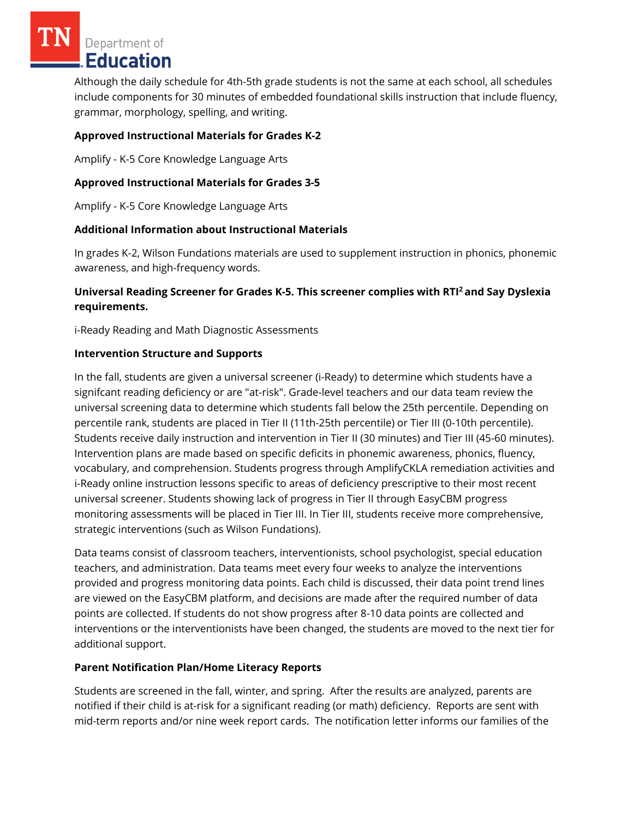Department of Education

Although the daily schedule for 4th-5th grade students is not the same at each school, all schedules include components for 30 minutes of embedded foundational skills instruction that include fluency, grammar, morphology, spelling, and writing.

# **Approved Instructional Materials for Grades K-2**

Amplify - K-5 Core Knowledge Language Arts

## **Approved Instructional Materials for Grades 3-5**

Amplify - K-5 Core Knowledge Language Arts

## **Additional Information about Instructional Materials**

In grades K-2, Wilson Fundations materials are used to supplement instruction in phonics, phonemic awareness, and high-frequency words.

# **Universal Reading Screener for Grades K-5. This screener complies with RTI<sup>2</sup>and Say Dyslexia requirements.**

i-Ready Reading and Math Diagnostic Assessments

#### **Intervention Structure and Supports**

In the fall, students are given a universal screener (i-Ready) to determine which students have a signifcant reading deficiency or are "at-risk". Grade-level teachers and our data team review the universal screening data to determine which students fall below the 25th percentile. Depending on percentile rank, students are placed in Tier II (11th-25th percentile) or Tier III (0-10th percentile). Students receive daily instruction and intervention in Tier II (30 minutes) and Tier III (45-60 minutes). Intervention plans are made based on specific deficits in phonemic awareness, phonics, fluency, vocabulary, and comprehension. Students progress through AmplifyCKLA remediation activities and i-Ready online instruction lessons specific to areas of deficiency prescriptive to their most recent universal screener. Students showing lack of progress in Tier II through EasyCBM progress monitoring assessments will be placed in Tier III. In Tier III, students receive more comprehensive, strategic interventions (such as Wilson Fundations).

Data teams consist of classroom teachers, interventionists, school psychologist, special education teachers, and administration. Data teams meet every four weeks to analyze the interventions provided and progress monitoring data points. Each child is discussed, their data point trend lines are viewed on the EasyCBM platform, and decisions are made after the required number of data points are collected. If students do not show progress after 8-10 data points are collected and interventions or the interventionists have been changed, the students are moved to the next tier for additional support.

## **Parent Notification Plan/Home Literacy Reports**

Students are screened in the fall, winter, and spring. After the results are analyzed, parents are notified if their child is at-risk for a significant reading (or math) deficiency. Reports are sent with mid-term reports and/or nine week report cards. The notification letter informs our families of the